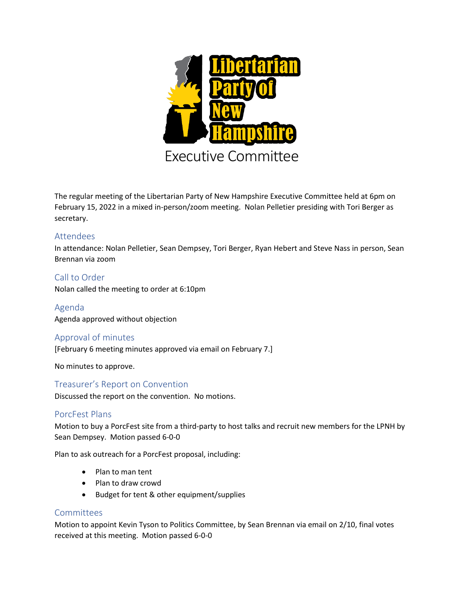

The regular meeting of the Libertarian Party of New Hampshire Executive Committee held at 6pm on February 15, 2022 in a mixed in-person/zoom meeting. Nolan Pelletier presiding with Tori Berger as secretary.

## Attendees

In attendance: Nolan Pelletier, Sean Dempsey, Tori Berger, Ryan Hebert and Steve Nass in person, Sean Brennan via zoom

Call to Order Nolan called the meeting to order at 6:10pm

Agenda Agenda approved without objection

# Approval of minutes

[February 6 meeting minutes approved via email on February 7.]

No minutes to approve.

Treasurer's Report on Convention

Discussed the report on the convention. No motions.

### PorcFest Plans

Motion to buy a PorcFest site from a third-party to host talks and recruit new members for the LPNH by Sean Dempsey. Motion passed 6-0-0

Plan to ask outreach for a PorcFest proposal, including:

- Plan to man tent
- Plan to draw crowd
- Budget for tent & other equipment/supplies

### Committees

Motion to appoint Kevin Tyson to Politics Committee, by Sean Brennan via email on 2/10, final votes received at this meeting. Motion passed 6-0-0